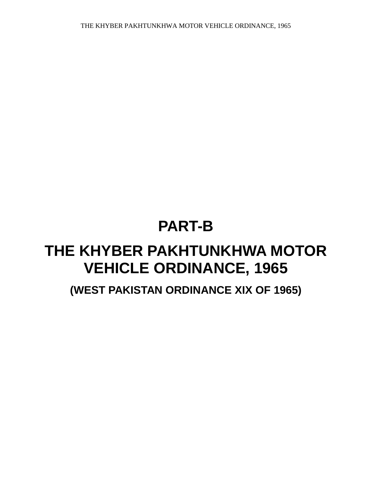# **PART-B**

## **THE KHYBER PAKHTUNKHWA MOTOR VEHICLE ORDINANCE, 1965**

**(WEST PAKISTAN ORDINANCE XIX OF 1965)**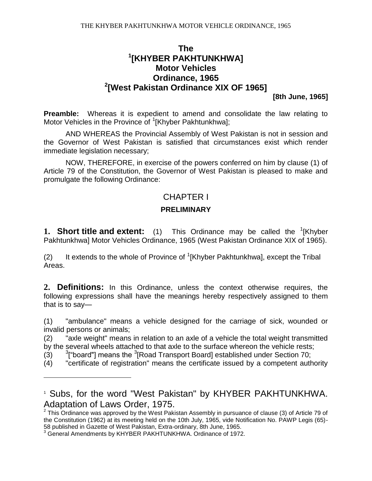## **The 1 [KHYBER PAKHTUNKHWA] Motor Vehicles Ordinance, 1965 2 [West Pakistan Ordinance XIX OF 1965]**

**[8th June, 1965]**

**Preamble:** Whereas it is expedient to amend and consolidate the law relating to Motor Vehicles in the Province of <sup>1</sup>[Khyber Pakhtunkhwa];

AND WHEREAS the Provincial Assembly of West Pakistan is not in session and the Governor of West Pakistan is satisfied that circumstances exist which render immediate legislation necessary;

NOW, THEREFORE, in exercise of the powers conferred on him by clause (1) of Article 79 of the Constitution, the Governor of West Pakistan is pleased to make and promulgate the following Ordinance:

## CHAPTER I

#### **PRELIMINARY**

**1. Short title and extent:** (1) This Ordinance may be called the <sup>1</sup>[Khyber Pakhtunkhwa] Motor Vehicles Ordinance, 1965 (West Pakistan Ordinance XIX of 1965).

(2) It extends to the whole of Province of  ${}^{1}$ [Khyber Pakhtunkhwa], except the Tribal Areas.

**2. Definitions:** In this Ordinance, unless the context otherwise requires, the following expressions shall have the meanings hereby respectively assigned to them that is to say—

(1) "ambulance" means a vehicle designed for the carriage of sick, wounded or invalid persons or animals;

(2) "axle weight" means in relation to an axle of a vehicle the total weight transmitted by the several wheels attached to that axle to the surface whereon the vehicle rests;

 $(3)$ ["board"] means the <sup>3</sup>[Road Transport Board] established under Section 70;

(4) "certificate of registration" means the certificate issued by a competent authority

<sup>1</sup> Subs, for the word "West Pakistan" by KHYBER PAKHTUNKHWA. Adaptation of Laws Order, 1975.

 $2$  This Ordinance was approved by the West Pakistan Assembly in pursuance of clause (3) of Article 79 of the Constitution (1962) at its meeting held on the 10th July, 1965, vide Notification No. PAWP Legis (65)- 58 published in Gazette of West Pakistan, Extra-ordinary, 8th June, 1965.

<sup>&</sup>lt;sup>3</sup> General Amendments by KHYBER PAKHTUNKHWA. Ordinance of 1972.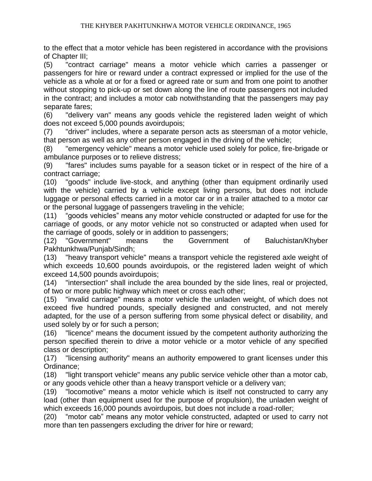to the effect that a motor vehicle has been registered in accordance with the provisions of Chapter III;

(5) "contract carriage" means a motor vehicle which carries a passenger or passengers for hire or reward under a contract expressed or implied for the use of the vehicle as a whole at or for a fixed or agreed rate or sum and from one point to another without stopping to pick-up or set down along the line of route passengers not included in the contract; and includes a motor cab notwithstanding that the passengers may pay separate fares;

(6) "delivery van" means any goods vehicle the registered laden weight of which does not exceed 5,000 pounds avoirdupois;

(7) "driver'' includes, where a separate person acts as steersman of a motor vehicle, that person as well as any other person engaged in the driving of the vehicle;

(8) "emergency vehicle" means a motor vehicle used solely for police, fire-brigade or ambulance purposes or to relieve distress;

(9) "fares" includes sums payable for a season ticket or in respect of the hire of a contract carriage;

(10) "goods" include live-stock, and anything (other than equipment ordinarily used with the vehicle) carried by a vehicle except living persons, but does not include luggage or personal effects carried in a motor car or in a trailer attached to a motor car or the personal luggage of passengers traveling in the vehicle;

(11) "goods vehicles" means any motor vehicle constructed or adapted for use for the carriage of goods, or any motor vehicle not so constructed or adapted when used for the carriage of goods, solely or in addition to passengers;

(12) "Government" means the Government of Baluchistan/Khyber Pakhtunkhwa/Punjab/Sindh;

(13) "heavy transport vehicle" means a transport vehicle the registered axle weight of which exceeds 10,600 pounds avoirdupois, or the registered laden weight of which exceed 14,500 pounds avoirdupois;

(14) "intersection" shall include the area bounded by the side lines, real or projected, of two or more public highway which meet or cross each other;

(15) "invalid carriage" means a motor vehicle the unladen weight, of which does not exceed five hundred pounds, specially designed and constructed, and not merely adapted, for the use of a person suffering from some physical defect or disability, and used solely by or for such a person;

(16) "licence" means the document issued by the competent authority authorizing the person specified therein to drive a motor vehicle or a motor vehicle of any specified class or description;

(17) "licensing authority" means an authority empowered to grant licenses under this Ordinance;

(18) "light transport vehicle" means any public service vehicle other than a motor cab, or any goods vehicle other than a heavy transport vehicle or a delivery van;

(19) "locomotive" means a motor vehicle which is itself not constructed to carry any load (other than equipment used for the purpose of propulsion), the unladen weight of which exceeds 16,000 pounds avoirdupois, but does not include a road-roller;

(20) "motor cab" means any motor vehicle constructed, adapted or used to carry not more than ten passengers excluding the driver for hire or reward;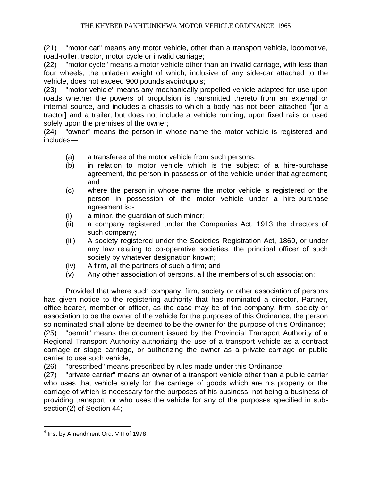(21) "motor car" means any motor vehicle, other than a transport vehicle, locomotive, road-roller, tractor, motor cycle or invalid carriage;

(22) "motor cycle" means a motor vehicle other than an invalid carriage, with less than four wheels, the unladen weight of which, inclusive of any side-car attached to the vehicle, does not exceed 900 pounds avoirdupois;

(23) "motor vehicle" means any mechanically propelled vehicle adapted for use upon roads whether the powers of propulsion is transmitted thereto from an external or internal source, and includes a chassis to which a body has not been attached  $4$  [or a tractor] and a trailer; but does not include a vehicle running, upon fixed rails or used solely upon the premises of the owner;

(24) "owner" means the person in whose name the motor vehicle is registered and includes—

- (a) a transferee of the motor vehicle from such persons;
- (b) in relation to motor vehicle which is the subject of a hire-purchase agreement, the person in possession of the vehicle under that agreement; and
- (c) where the person in whose name the motor vehicle is registered or the person in possession of the motor vehicle under a hire-purchase agreement is:-
- (i) a minor, the guardian of such minor;
- (ii) a company registered under the Companies Act, 1913 the directors of such company;
- (iii) A society registered under the Societies Registration Act, 1860, or under any law relating to co-operative societies, the principal officer of such society by whatever designation known;
- (iv) A firm, all the partners of such a firm; and
- (v) Any other association of persons, all the members of such association;

Provided that where such company, firm, society or other association of persons has given notice to the registering authority that has nominated a director, Partner, office-bearer, member or officer, as the case may be of the company, firm, society or association to be the owner of the vehicle for the purposes of this Ordinance, the person so nominated shall alone be deemed to be the owner for the purpose of this Ordinance;

(25) "permit" means the document issued by the Provincial Transport Authority of a Regional Transport Authority authorizing the use of a transport vehicle as a contract carriage or stage carriage, or authorizing the owner as a private carriage or public carrier to use such vehicle,

(26) "prescribed" means prescribed by rules made under this Ordinance;

(27) "private carrier" means an owner of a transport vehicle other than a public carrier who uses that vehicle solely for the carriage of goods which are his property or the carriage of which is necessary for the purposes of his business, not being a business of providing transport, or who uses the vehicle for any of the purposes specified in subsection(2) of Section 44;

 $\overline{a}$ <sup>4</sup> Ins. by Amendment Ord. VIII of 1978.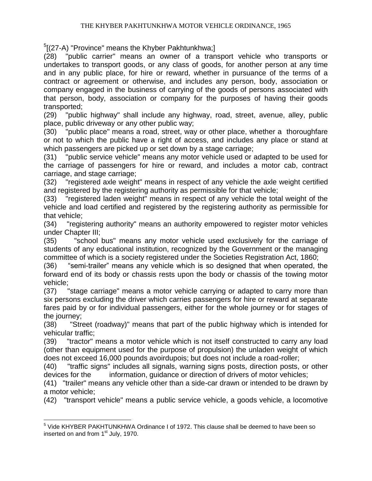<sup>5</sup>[(27-A) "Province" means the Khyber Pakhtunkhwa;]

(28) "public carrier" means an owner of a transport vehicle who transports or undertakes to transport goods, or any class of goods, for another person at any time and in any public place, for hire or reward, whether in pursuance of the terms of a contract or agreement or otherwise, and includes any person, body, association or company engaged in the business of carrying of the goods of persons associated with that person, body, association or company for the purposes of having their goods transported;

(29) "public highway" shall include any highway, road, street, avenue, alley, public place, public driveway or any other public way;

(30) "public place" means a road, street, way or other place, whether a thoroughfare or not to which the public have a right of access, and includes any place or stand at which passengers are picked up or set down by a stage carriage;

(31) "public service vehicle" means any motor vehicle used or adapted to be used for the carriage of passengers for hire or reward, and includes a motor cab, contract carriage, and stage carriage;

(32) "registered axle weight" means in respect of any vehicle the axle weight certified and registered by the registering authority as permissible for that vehicle;

(33) "registered laden weight" means in respect of any vehicle the total weight of the vehicle and load certified and registered by the registering authority as permissible for that vehicle;

(34) "registering authority" means an authority empowered to register motor vehicles under Chapter III;

(35) "school bus" means any motor vehicle used exclusively for the carriage of students of any educational institution, recognized by the Government or the managing committee of which is a society registered under the Societies Registration Act, 1860;

(36) "semi-trailer" means any vehicle which is so designed that when operated, the forward end of its body or chassis rests upon the body or chassis of the towing motor vehicle;

(37) "stage carriage" means a motor vehicle carrying or adapted to carry more than six persons excluding the driver which carries passengers for hire or reward at separate fares paid by or for individual passengers, either for the whole journey or for stages of the journey;

(38) "Street (roadway)" means that part of the public highway which is intended for vehicular traffic;

(39) "tractor" means a motor vehicle which is not itself constructed to carry any load (other than equipment used for the purpose of propulsion) the unladen weight of which does not exceed 16,000 pounds avoirdupois; but does not include a road-roller;

(40) "traffic signs" includes all signals, warning signs posts, direction posts, or other devices for the information, quidance or direction of drivers of motor vehicles;

(41) "trailer" means any vehicle other than a side-car drawn or intended to be drawn by a motor vehicle;

(42) "transport vehicle" means a public service vehicle, a goods vehicle, a locomotive

<sup>&</sup>lt;sup>5</sup> Vide KHYBER PAKHTUNKHWA Ordinance I of 1972. This clause shall be deemed to have been so inserted on and from 1<sup>st</sup> July, 1970.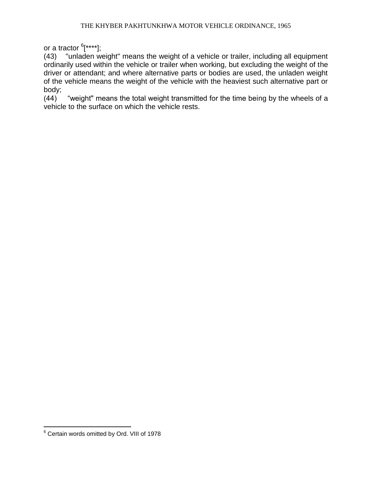or a tractor <sup>6</sup>[\*\*\*\*];

(43) "unladen weight" means the weight of a vehicle or trailer, including all equipment ordinarily used within the vehicle or trailer when working, but excluding the weight of the driver or attendant; and where alternative parts or bodies are used, the unladen weight of the vehicle means the weight of the vehicle with the heaviest such alternative part or body;

(44) "weight" means the total weight transmitted for the time being by the wheels of a vehicle to the surface on which the vehicle rests.

 $\overline{a}$  $6$  Certain words omitted by Ord. VIII of 1978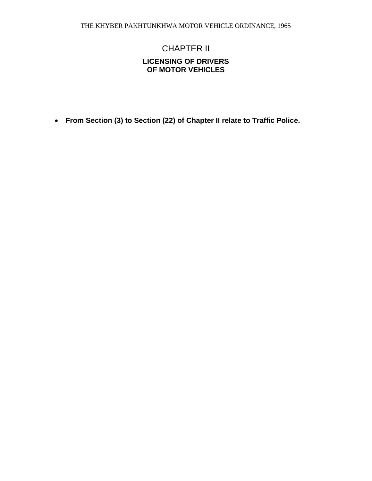## CHAPTER II **LICENSING OF DRIVERS OF MOTOR VEHICLES**

**From Section (3) to Section (22) of Chapter II relate to Traffic Police.**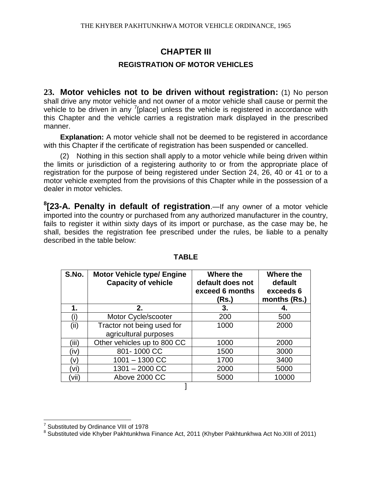## **CHAPTER III**

### **REGISTRATION OF MOTOR VEHICLES**

**23. Motor vehicles not to be driven without registration:** (1) No person shall drive any motor vehicle and not owner of a motor vehicle shall cause or permit the vehicle to be driven in any  $\frac{7}{2}$ [place] unless the vehicle is registered in accordance with this Chapter and the vehicle carries a registration mark displayed in the prescribed manner.

**Explanation:** A motor vehicle shall not be deemed to be registered in accordance with this Chapter if the certificate of registration has been suspended or cancelled.

(2) Nothing in this section shall apply to a motor vehicle while being driven within the limits or jurisdiction of a registering authority to or from the appropriate place of registration for the purpose of being registered under Section 24, 26, 40 or 41 or to a motor vehicle exempted from the provisions of this Chapter while in the possession of a dealer in motor vehicles.

**8 [23-A. Penalty in default of registration**.—If any owner of a motor vehicle imported into the country or purchased from any authorized manufacturer in the country, fails to register it within sixty days of its import or purchase, as the case may be, he shall, besides the registration fee prescribed under the rules, be liable to a penalty described in the table below:

| S.No. | <b>Motor Vehicle type/ Engine</b><br><b>Capacity of vehicle</b> | Where the<br>default does not<br>exceed 6 months<br>(Rs.) | Where the<br>default<br>exceeds 6<br>months (Rs.) |
|-------|-----------------------------------------------------------------|-----------------------------------------------------------|---------------------------------------------------|
| 1.    | 2.                                                              | 3.                                                        | 4.                                                |
| (i)   | Motor Cycle/scooter                                             | 200                                                       | 500                                               |
| (ii)  | Tractor not being used for                                      | 1000                                                      | 2000                                              |
|       | agricultural purposes                                           |                                                           |                                                   |
| (iii) | Other vehicles up to 800 CC                                     | 1000                                                      | 2000                                              |
| (iv)  | 801-1000 CC                                                     | 1500                                                      | 3000                                              |
| (v)   | $1001 - 1300$ CC                                                | 1700                                                      | 3400                                              |
| Vi)   | $1301 - 2000$ CC                                                | 2000                                                      | 5000                                              |
| vii)  | Above 2000 CC                                                   | 5000                                                      | 10000                                             |
|       |                                                                 |                                                           |                                                   |

#### **TABLE**

 $\overline{a}$ <sup>7</sup> Substituted by Ordinance VIII of 1978

<sup>&</sup>lt;sup>8</sup> Substituted vide Khyber Pakhtunkhwa Finance Act, 2011 (Khyber Pakhtunkhwa Act No.XIII of 2011)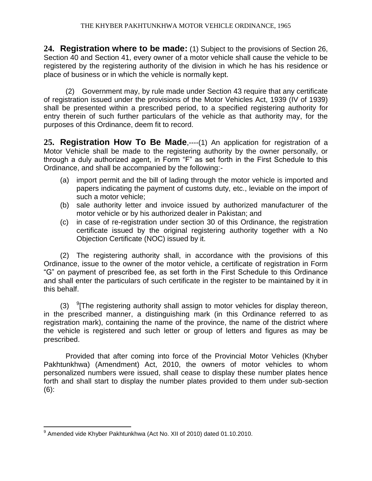**24. Registration where to be made:** (1) Subject to the provisions of Section 26, Section 40 and Section 41, every owner of a motor vehicle shall cause the vehicle to be registered by the registering authority of the division in which he has his residence or place of business or in which the vehicle is normally kept.

(2) Government may, by rule made under Section 43 require that any certificate of registration issued under the provisions of the Motor Vehicles Act, 1939 (IV of 1939) shall be presented within a prescribed period, to a specified registering authority for entry therein of such further particulars of the vehicle as that authority may, for the purposes of this Ordinance, deem fit to record.

**25. Registration How To Be Made**,----(1) An application for registration of a Motor Vehicle shall be made to the registering authority by the owner personally, or through a duly authorized agent, in Form "F" as set forth in the First Schedule to this Ordinance, and shall be accompanied by the following:-

- (a) import permit and the bill of lading through the motor vehicle is imported and papers indicating the payment of customs duty, etc., leviable on the import of such a motor vehicle;
- (b) sale authority letter and invoice issued by authorized manufacturer of the motor vehicle or by his authorized dealer in Pakistan; and
- (c) in case of re-registration under section 30 of this Ordinance, the registration certificate issued by the original registering authority together with a No Objection Certificate (NOC) issued by it.

(2) The registering authority shall, in accordance with the provisions of this Ordinance, issue to the owner of the motor vehicle, a certificate of registration in Form "G" on payment of prescribed fee, as set forth in the First Schedule to this Ordinance and shall enter the particulars of such certificate in the register to be maintained by it in this behalf.

(3)  $9$ <sup>9</sup> The registering authority shall assign to motor vehicles for display thereon, in the prescribed manner, a distinguishing mark (in this Ordinance referred to as registration mark), containing the name of the province, the name of the district where the vehicle is registered and such letter or group of letters and figures as may be prescribed.

Provided that after coming into force of the Provincial Motor Vehicles (Khyber Pakhtunkhwa) (Amendment) Act, 2010, the owners of motor vehicles to whom personalized numbers were issued, shall cease to display these number plates hence forth and shall start to display the number plates provided to them under sub-section (6):

 $\overline{a}$ <sup>9</sup> Amended vide Khyber Pakhtunkhwa (Act No. XII of 2010) dated 01.10.2010.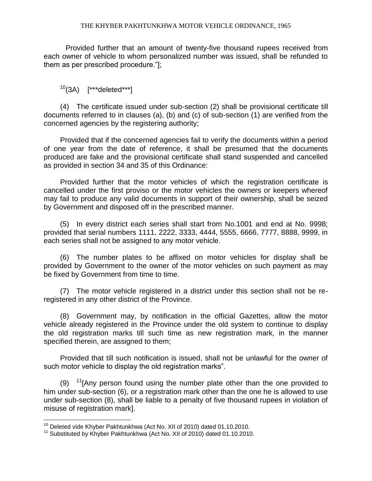#### THE KHYBER PAKHTUNKHWA MOTOR VEHICLE ORDINANCE, 1965

Provided further that an amount of twenty-five thousand rupees received from each owner of vehicle to whom personalized number was issued, shall be refunded to them as per prescribed procedure."];

 $10(3)$  [\*\*\*deleted\*\*\*]

(4) The certificate issued under sub-section (2) shall be provisional certificate till documents referred to in clauses (a), (b) and (c) of sub-section (1) are verified from the concerned agencies by the registering authority;

Provided that if the concerned agencies fail to verify the documents within a period of one year from the date of reference, it shall be presumed that the documents produced are fake and the provisional certificate shall stand suspended and cancelled as provided in section 34 and 35 of this Ordinance:

Provided further that the motor vehicles of which the registration certificate is cancelled under the first proviso or the motor vehicles the owners or keepers whereof may fail to produce any valid documents in support of their ownership, shall be seized by Government and disposed off in the prescribed manner.

(5) In every district each series shall start from No.1001 and end at No. 9998; provided that serial numbers 1111, 2222, 3333, 4444, 5555, 6666, 7777, 8888, 9999, in each series shall not be assigned to any motor vehicle.

(6) The number plates to be affixed on motor vehicles for display shall be provided by Government to the owner of the motor vehicles on such payment as may be fixed by Government from time to time.

(7) The motor vehicle registered in a district under this section shall not be reregistered in any other district of the Province.

(8) Government may, by notification in the official Gazettes, allow the motor vehicle already registered in the Province under the old system to continue to display the old registration marks till such time as new registration mark, in the manner specified therein, are assigned to them;

Provided that till such notification is issued, shall not be unlawful for the owner of such motor vehicle to display the old registration marks".

(9)  $11$ [Any person found using the number plate other than the one provided to him under sub-section (6), or a registration mark other than the one he is allowed to use under sub-section (8), shall be liable to a penalty of five thousand rupees in violation of misuse of registration mark].

 $10$  Deleted vide Khyber Pakhtunkhwa (Act No. XII of 2010) dated 01.10.2010.

<sup>11</sup> Substituted by Khyber Pakhtunkhwa (Act No. XII of 2010) dated 01.10.2010.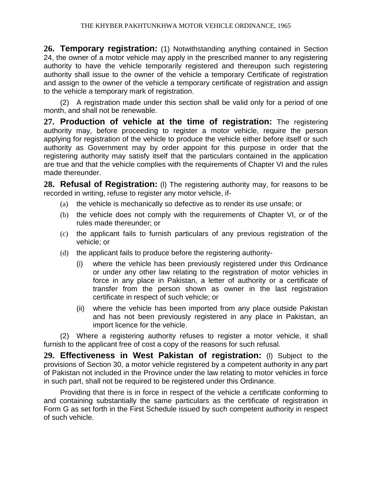**26. Temporary registration:** (1) Notwithstanding anything contained in Section 24, the owner of a motor vehicle may apply in the prescribed manner to any registering authority to have the vehicle temporarily registered and thereupon such registering authority shall issue to the owner of the vehicle a temporary Certificate of registration and assign to the owner of the vehicle a temporary certificate of registration and assign to the vehicle a temporary mark of registration.

(2) A registration made under this section shall be valid only for a period of one month, and shall not be renewable.

**27. Production of vehicle at the time of registration:** The registering authority may, before proceeding to register a motor vehicle, require the person applying for registration of the vehicle to produce the vehicle either before itself or such authority as Government may by order appoint for this purpose in order that the registering authority may satisfy itself that the particulars contained in the application are true and that the vehicle complies with the requirements of Chapter VI and the rules made thereunder.

**28. Refusal of Registration:** (l) The registering authority may, for reasons to be recorded in writing, refuse to register any motor vehicle, if-

- (a) the vehicle is mechanically so defective as to render its use unsafe; or
- (b) the vehicle does not comply with the requirements of Chapter VI, or of the rules made thereunder; or
- (c) the applicant fails to furnish particulars of any previous registration of the vehicle; or
- (d) the applicant fails to produce before the registering authority-
	- (i) where the vehicle has been previously registered under this Ordinance or under any other law relating to the registration of motor vehicles in force in any place in Pakistan, a letter of authority or a certificate of transfer from the person shown as owner in the last registration certificate in respect of such vehicle; or
	- (ii) where the vehicle has been imported from any place outside Pakistan and has not been previously registered in any place in Pakistan, an import licence for the vehicle.

(2) Where a registering authority refuses to register a motor vehicle, it shall furnish to the applicant free of cost a copy of the reasons for such refusal.

**29. Effectiveness in West Pakistan of registration:** (l) Subject to the provisions of Section 30, a motor vehicle registered by a competent authority in any part of Pakistan not included in the Province under the law relating to motor vehicles in force in such part, shall not be required to be registered under this Ordinance.

Providing that there is in force in respect of the vehicle a certificate conforming to and containing substantially the same particulars as the certificate of registration in Form G as set forth in the First Schedule issued by such competent authority in respect of such vehicle.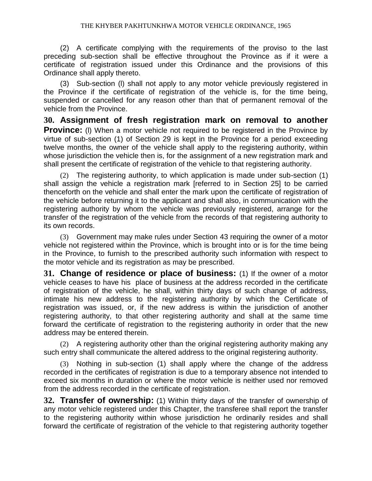#### THE KHYBER PAKHTUNKHWA MOTOR VEHICLE ORDINANCE, 1965

(2) A certificate complying with the requirements of the proviso to the last preceding sub-section shall be effective throughout the Province as if it were a certificate of registration issued under this Ordinance and the provisions of this Ordinance shall apply thereto.

(3) Sub-section (l) shall not apply to any motor vehicle previously registered in the Province if the certificate of registration of the vehicle is, for the time being, suspended or cancelled for any reason other than that of permanent removal of the vehicle from the Province.

**30. Assignment of fresh registration mark on removal to another Province:** (I) When a motor vehicle not required to be registered in the Province by virtue of sub-section (1) of Section 29 is kept in the Province for a period exceeding twelve months, the owner of the vehicle shall apply to the registering authority, within whose jurisdiction the vehicle then is, for the assignment of a new registration mark and shall present the certificate of registration of the vehicle to that registering authority.

(2) The registering authority, to which application is made under sub-section (1) shall assign the vehicle a registration mark [referred to in Section 25] to be carried thenceforth on the vehicle and shall enter the mark upon the certificate of registration of the vehicle before returning it to the applicant and shall also, in communication with the registering authority by whom the vehicle was previously registered, arrange for the transfer of the registration of the vehicle from the records of that registering authority to its own records.

(3) Government may make rules under Section 43 requiring the owner of a motor vehicle not registered within the Province, which is brought into or is for the time being in the Province, to furnish to the prescribed authority such information with respect to the motor vehicle and its registration as may be prescribed.

**31. Change of residence or place of business:** (1) If the owner of a motor vehicle ceases to have his place of business at the address recorded in the certificate of registration of the vehicle, he shall, within thirty days of such change of address, intimate his new address to the registering authority by which the Certificate of registration was issued, or, if the new address is within the jurisdiction of another registering authority, to that other registering authority and shall at the same time forward the certificate of registration to the registering authority in order that the new address may be entered therein.

(2) A registering authority other than the original registering authority making any such entry shall communicate the altered address to the original registering authority.

(3) Nothing in sub-section (1) shall apply where the change of the address recorded in the certificates of registration is due to a temporary absence not intended to exceed six months in duration or where the motor vehicle is neither used nor removed from the address recorded in the certificate of registration.

**32. Transfer of ownership:** (1) Within thirty days of the transfer of ownership of any motor vehicle registered under this Chapter, the transferee shall report the transfer to the registering authority within whose jurisdiction he ordinarily resides and shall forward the certificate of registration of the vehicle to that registering authority together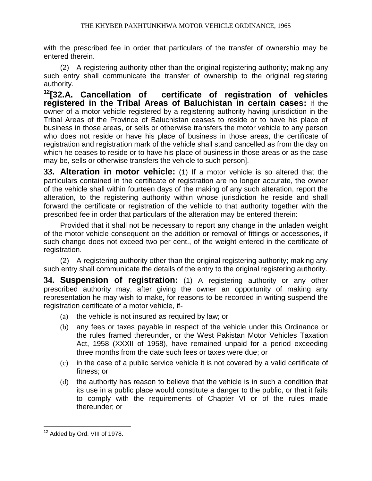with the prescribed fee in order that particulars of the transfer of ownership may be entered therein.

(2) A registering authority other than the original registering authority; making any such entry shall communicate the transfer of ownership to the original registering authority.

**<sup>12</sup>[32.A. Cancellation of certificate of registration of vehicles registered in the Tribal Areas of Baluchistan in certain cases:** If the owner of a motor vehicle registered by a registering authority having jurisdiction in the Tribal Areas of the Province of Baluchistan ceases to reside or to have his place of business in those areas, or sells or otherwise transfers the motor vehicle to any person who does not reside or have his place of business in those areas, the certificate of registration and registration mark of the vehicle shall stand cancelled as from the day on which he ceases to reside or to have his place of business in those areas or as the case may be, sells or otherwise transfers the vehicle to such person].

**33. Alteration in motor vehicle:** (1) If a motor vehicle is so altered that the particulars contained in the certificate of registration are no longer accurate, the owner of the vehicle shall within fourteen days of the making of any such alteration, report the alteration, to the registering authority within whose jurisdiction he reside and shall forward the certificate or registration of the vehicle to that authority together with the prescribed fee in order that particulars of the alteration may be entered therein:

Provided that it shall not be necessary to report any change in the unladen weight of the motor vehicle consequent on the addition or removal of fittings or accessories, if such change does not exceed two per cent., of the weight entered in the certificate of registration.

(2) A registering authority other than the original registering authority; making any such entry shall communicate the details of the entry to the original registering authority.

**34. Suspension of registration:** (1) A registering authority or any other prescribed authority may, after giving the owner an opportunity of making any representation he may wish to make, for reasons to be recorded in writing suspend the registration certificate of a motor vehicle, if-

- (a) the vehicle is not insured as required by law; or
- (b) any fees or taxes payable in respect of the vehicle under this Ordinance or the rules framed thereunder, or the West Pakistan Motor Vehicles Taxation Act, 1958 (XXXII of 1958), have remained unpaid for a period exceeding three months from the date such fees or taxes were due; or
- (c) in the case of a public service vehicle it is not covered by a valid certificate of fitness; or
- (d) the authority has reason to believe that the vehicle is in such a condition that its use in a public place would constitute a danger to the public, or that it fails to comply with the requirements of Chapter VI or of the rules made thereunder; or

 $\overline{a}$ <sup>12</sup> Added by Ord. VIII of 1978.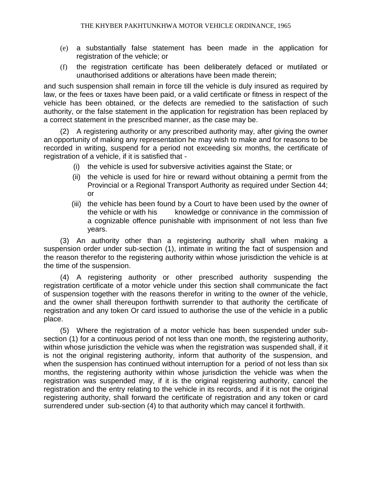- (e) a substantially false statement has been made in the application for registration of the vehicle; or
- (f) the registration certificate has been deliberately defaced or mutilated or unauthorised additions or alterations have been made therein;

and such suspension shall remain in force till the vehicle is duly insured as required by law, or the fees or taxes have been paid, or a valid certificate or fitness in respect of the vehicle has been obtained, or the defects are remedied to the satisfaction of such authority, or the false statement in the application for registration has been replaced by a correct statement in the prescribed manner, as the case may be.

(2) A registering authority or any prescribed authority may, after giving the owner an opportunity of making any representation he may wish to make and for reasons to be recorded in writing, suspend for a period not exceeding six months, the certificate of registration of a vehicle, if it is satisfied that -

- (i) the vehicle is used for subversive activities against the State; or
- (ii) the vehicle is used for hire or reward without obtaining a permit from the Provincial or a Regional Transport Authority as required under Section 44; or
- (iii) the vehicle has been found by a Court to have been used by the owner of the vehicle or with his knowledge or connivance in the commission of a cognizable offence punishable with imprisonment of not less than five years.

(3) An authority other than a registering authority shall when making a suspension order under sub-section (1), intimate in writing the fact of suspension and the reason therefor to the registering authority within whose jurisdiction the vehicle is at the time of the suspension.

(4) A registering authority or other prescribed authority suspending the registration certificate of a motor vehicle under this section shall communicate the fact of suspension together with the reasons therefor in writing to the owner of the vehicle, and the owner shall thereupon forthwith surrender to that authority the certificate of registration and any token Or card issued to authorise the use of the vehicle in a public place.

(5) Where the registration of a motor vehicle has been suspended under subsection (1) for a continuous period of not less than one month, the registering authority, within whose jurisdiction the vehicle was when the registration was suspended shall, if it is not the original registering authority, inform that authority of the suspension, and when the suspension has continued without interruption for a period of not less than six months, the registering authority within whose jurisdiction the vehicle was when the registration was suspended may, if it is the original registering authority, cancel the registration and the entry relating to the vehicle in its records, and if it is not the original registering authority, shall forward the certificate of registration and any token or card surrendered under sub-section (4) to that authority which may cancel it forthwith.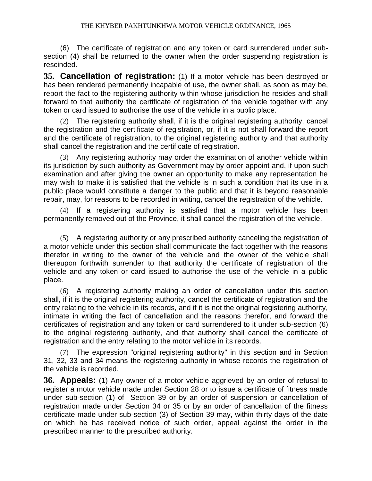(6) The certificate of registration and any token or card surrendered under subsection (4) shall be returned to the owner when the order suspending registration is rescinded.

**35. Cancellation of registration:** (1) If a motor vehicle has been destroyed or has been rendered permanently incapable of use, the owner shall, as soon as may be, report the fact to the registering authority within whose jurisdiction he resides and shall forward to that authority the certificate of registration of the vehicle together with any token or card issued to authorise the use of the vehicle in a public place.

(2) The registering authority shall, if it is the original registering authority, cancel the registration and the certificate of registration, or, if it is not shall forward the report and the certificate of registration, to the original registering authority and that authority shall cancel the registration and the certificate of registration.

(3) Any registering authority may order the examination of another vehicle within its jurisdiction by such authority as Government may by order appoint and, if upon such examination and after giving the owner an opportunity to make any representation he may wish to make it is satisfied that the vehicle is in such a condition that its use in a public place would constitute a danger to the public and that it is beyond reasonable repair, may, for reasons to be recorded in writing, cancel the registration of the vehicle.

(4) If a registering authority is satisfied that a motor vehicle has been permanently removed out of the Province, it shall cancel the registration of the vehicle.

(5) A registering authority or any prescribed authority canceling the registration of a motor vehicle under this section shall communicate the fact together with the reasons therefor in writing to the owner of the vehicle and the owner of the vehicle shall thereupon forthwith surrender to that authority the certificate of registration of the vehicle and any token or card issued to authorise the use of the vehicle in a public place.

(6) A registering authority making an order of cancellation under this section shall, if it is the original registering authority, cancel the certificate of registration and the entry relating to the vehicle in its records, and if it is not the original registering authority, intimate in writing the fact of cancellation and the reasons therefor, and forward the certificates of registration and any token or card surrendered to it under sub-section (6) to the original registering authority, and that authority shall cancel the certificate of registration and the entry relating to the motor vehicle in its records.

(7) The expression "original registering authority" in this section and in Section 31, 32, 33 and 34 means the registering authority in whose records the registration of the vehicle is recorded.

**36. Appeals:** (1) Any owner of a motor vehicle aggrieved by an order of refusal to register a motor vehicle made under Section 28 or to issue a certificate of fitness made under sub-section (1) of Section 39 or by an order of suspension or cancellation of registration made under Section 34 or 35 or by an order of cancellation of the fitness certificate made under sub-section (3) of Section 39 may, within thirty days of the date on which he has received notice of such order, appeal against the order in the prescribed manner to the prescribed authority.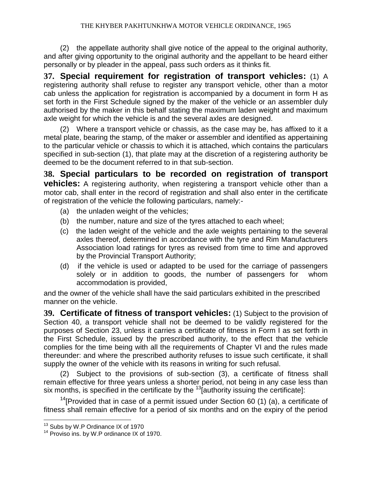(2) the appellate authority shall give notice of the appeal to the original authority, and after giving opportunity to the original authority and the appellant to be heard either personally or by pleader in the appeal, pass such orders as it thinks fit.

**37. Special requirement for registration of transport vehicles:** (1) A registering authority shall refuse to register any transport vehicle, other than a motor cab unless the application for registration is accompanied by a document in form H as set forth in the First Schedule signed by the maker of the vehicle or an assembler duly authorised by the maker in this behalf stating the maximum laden weight and maximum axle weight for which the vehicle is and the several axles are designed.

(2) Where a transport vehicle or chassis, as the case may be, has affixed to it a metal plate, bearing the stamp, of the maker or assembler and identified as appertaining to the particular vehicle or chassis to which it is attached, which contains the particulars specified in sub-section (1), that plate may at the discretion of a registering authority be deemed to be the document referred to in that sub-section.

**38. Special particulars to be recorded on registration of transport vehicles:** A registering authority, when registering a transport vehicle other than a motor cab, shall enter in the record of registration and shall also enter in the certificate of registration of the vehicle the following particulars, namely:-

- (a) the unladen weight of the vehicles;
- (b) the number, nature and size of the tyres attached to each wheel;
- (c) the laden weight of the vehicle and the axle weights pertaining to the several axles thereof, determined in accordance with the tyre and Rim Manufacturers Association load ratings for tyres as revised from time to time and approved by the Provincial Transport Authority;
- (d) if the vehicle is used or adapted to be used for the carriage of passengers solely or in addition to goods, the number of passengers for whom accommodation is provided,

and the owner of the vehicle shall have the said particulars exhibited in the prescribed manner on the vehicle.

**39. Certificate of fitness of transport vehicles:** (1) Subject to the provision of Section 40, a transport vehicle shall not be deemed to be validly registered for the purposes of Section 23, unless it carries a certificate of fitness in Form I as set forth in the First Schedule, issued by the prescribed authority, to the effect that the vehicle complies for the time being with all the requirements of Chapter VI and the rules made thereunder: and where the prescribed authority refuses to issue such certificate, it shall supply the owner of the vehicle with its reasons in writing for such refusal.

(2) Subject to the provisions of sub-section (3), a certificate of fitness shall remain effective for three years unless a shorter period, not being in any case less than six months, is specified in the certificate by the  $^{13}$ [authority issuing the certificate]:

 $14$ [Provided that in case of a permit issued under Section 60 (1) (a), a certificate of fitness shall remain effective for a period of six months and on the expiry of the period

<sup>&</sup>lt;sup>13</sup> Subs by W.P Ordinance IX of 1970

<sup>&</sup>lt;sup>14</sup> Proviso ins. by W.P ordinance IX of 1970.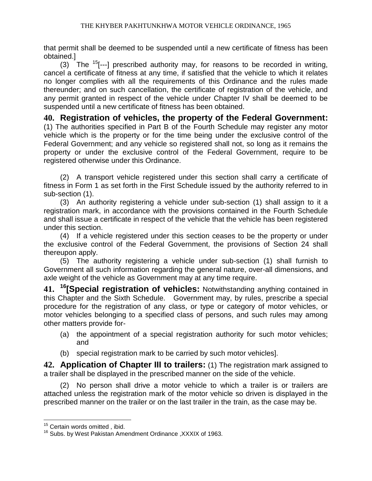that permit shall be deemed to be suspended until a new certificate of fitness has been obtained.]

(3) The  $15$ [---] prescribed authority may, for reasons to be recorded in writing, cancel a certificate of fitness at any time, if satisfied that the vehicle to which it relates no longer complies with all the requirements of this Ordinance and the rules made thereunder; and on such cancellation, the certificate of registration of the vehicle, and any permit granted in respect of the vehicle under Chapter IV shall be deemed to be suspended until a new certificate of fitness has been obtained.

**40. Registration of vehicles, the property of the Federal Government:** (1) The authorities specified in Part B of the Fourth Schedule may register any motor vehicle which is the property or for the time being under the exclusive control of the Federal Government; and any vehicle so registered shall not, so long as it remains the property or under the exclusive control of the Federal Government, require to be registered otherwise under this Ordinance.

(2) A transport vehicle registered under this section shall carry a certificate of fitness in Form 1 as set forth in the First Schedule issued by the authority referred to in sub-section (1).

(3) An authority registering a vehicle under sub-section (1) shall assign to it a registration mark, in accordance with the provisions contained in the Fourth Schedule and shall issue a certificate in respect of the vehicle that the vehicle has been registered under this section.

(4) If a vehicle registered under this section ceases to be the property or under the exclusive control of the Federal Government, the provisions of Section 24 shall thereupon apply.

(5) The authority registering a vehicle under sub-section (1) shall furnish to Government all such information regarding the general nature, over-all dimensions, and axle weight of the vehicle as Government may at any time require.

**41. <sup>16</sup>[Special registration of vehicles:** Notwithstanding anything contained in this Chapter and the Sixth Schedule. Government may, by rules, prescribe a special procedure for the registration of any class, or type or category of motor vehicles, or motor vehicles belonging to a specified class of persons, and such rules may among other matters provide for-

- (a) the appointment of a special registration authority for such motor vehicles; and
- (b) special registration mark to be carried by such motor vehicles].

**42. Application of Chapter III to trailers:** (1) The registration mark assigned to a trailer shall be displayed in the prescribed manner on the side of the vehicle.

(2) No person shall drive a motor vehicle to which a trailer is or trailers are attached unless the registration mark of the motor vehicle so driven is displayed in the prescribed manner on the trailer or on the last trailer in the train, as the case may be.

<sup>&</sup>lt;sup>15</sup> Certain words omitted, ibid.

<sup>16</sup> Subs. by West Pakistan Amendment Ordinance ,XXXIX of 1963.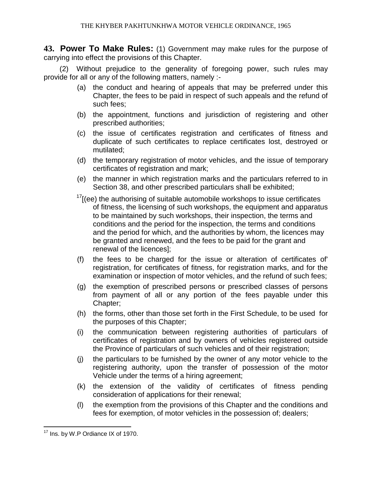**43. Power To Make Rules:** (1) Government may make rules for the purpose of carrying into effect the provisions of this Chapter.

(2) Without prejudice to the generality of foregoing power, such rules may provide for all or any of the following matters, namely :-

- (a) the conduct and hearing of appeals that may be preferred under this Chapter, the fees to be paid in respect of such appeals and the refund of such fees;
- (b) the appointment, functions and jurisdiction of registering and other prescribed authorities;
- (c) the issue of certificates registration and certificates of fitness and duplicate of such certificates to replace certificates lost, destroyed or mutilated;
- (d) the temporary registration of motor vehicles, and the issue of temporary certificates of registration and mark;
- (e) the manner in which registration marks and the particulars referred to in Section 38, and other prescribed particulars shall be exhibited;
- $17$ [(ee) the authorising of suitable automobile workshops to issue certificates of fitness, the licensing of such workshops, the equipment and apparatus to be maintained by such workshops, their inspection, the terms and conditions and the period for the inspection, the terms and conditions and the period for which, and the authorities by whom, the licences may be granted and renewed, and the fees to be paid for the grant and renewal of the licences];
- (f) the fees to be charged for the issue or alteration of certificates of' registration, for certificates of fitness, for registration marks, and for the examination or inspection of motor vehicles, and the refund of such fees;
- (g) the exemption of prescribed persons or prescribed classes of persons from payment of all or any portion of the fees payable under this Chapter;
- (h) the forms, other than those set forth in the First Schedule, to be used for the purposes of this Chapter;
- (i) the communication between registering authorities of particulars of certificates of registration and by owners of vehicles registered outside the Province of particulars of such vehicles and of their registration;
- (j) the particulars to be furnished by the owner of any motor vehicle to the registering authority, upon the transfer of possession of the motor Vehicle under the terms of a hiring agreement;
- (k) the extension of the validity of certificates of fitness pending consideration of applications for their renewal;
- (l) the exemption from the provisions of this Chapter and the conditions and fees for exemption, of motor vehicles in the possession of; dealers;

 $\overline{a}$  $17$  Ins. by W.P Ordiance IX of 1970.